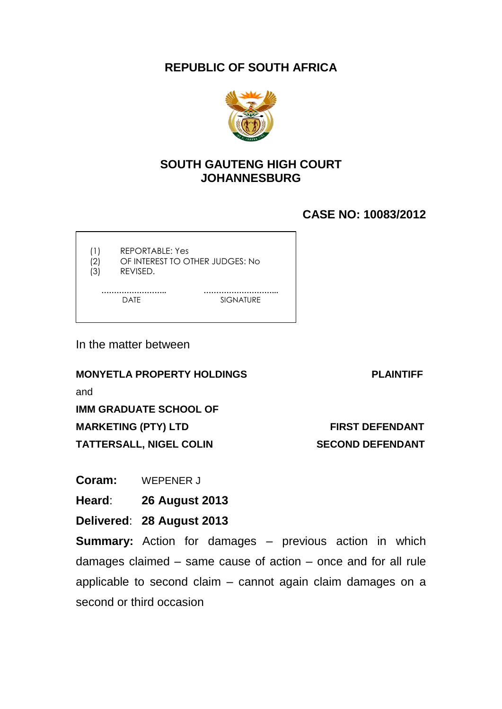**REPUBLIC OF SOUTH AFRICA**



## **SOUTH GAUTENG HIGH COURT JOHANNESBURG**

# **CASE NO: 10083/2012**

(1) REPORTABLE: Yes

- (2) OF INTEREST TO OTHER JUDGES: No
- (3) REVISED.

 **…………………….. ………………………...**

DATE SIGNATURE

In the matter between

**MONYETLA PROPERTY HOLDINGS PLAINTIFF**

and

**IMM GRADUATE SCHOOL OF** 

**MARKETING (PTY) LTD FIRST DEFENDANT** 

**TATTERSALL, NIGEL COLIN SECOND DEFENDANT** 

**Coram:** WEPENER J

**Heard**: **26 August 2013**

**Delivered**: **28 August 2013**

**Summary:** Action for damages – previous action in which damages claimed – same cause of action – once and for all rule applicable to second claim – cannot again claim damages on a second or third occasion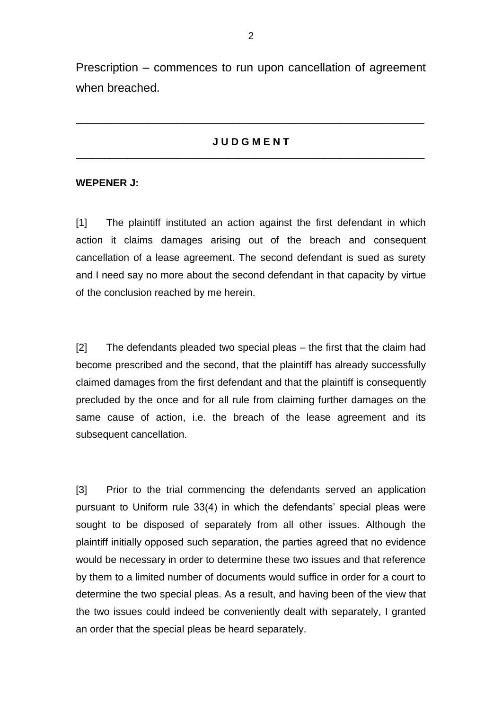Prescription – commences to run upon cancellation of agreement when breached.

### **J U D G M E N T** \_\_\_\_\_\_\_\_\_\_\_\_\_\_\_\_\_\_\_\_\_\_\_\_\_\_\_\_\_\_\_\_\_\_\_\_\_\_\_\_\_\_\_\_\_\_\_\_\_\_\_\_\_\_\_\_\_\_\_\_\_\_

\_\_\_\_\_\_\_\_\_\_\_\_\_\_\_\_\_\_\_\_\_\_\_\_\_\_\_\_\_\_\_\_\_\_\_\_\_\_\_\_\_\_\_\_\_\_\_\_\_\_\_\_\_\_\_\_\_\_\_\_\_\_

#### **WEPENER J:**

[1] The plaintiff instituted an action against the first defendant in which action it claims damages arising out of the breach and consequent cancellation of a lease agreement. The second defendant is sued as surety and I need say no more about the second defendant in that capacity by virtue of the conclusion reached by me herein.

[2] The defendants pleaded two special pleas – the first that the claim had become prescribed and the second, that the plaintiff has already successfully claimed damages from the first defendant and that the plaintiff is consequently precluded by the once and for all rule from claiming further damages on the same cause of action, i.e. the breach of the lease agreement and its subsequent cancellation.

[3] Prior to the trial commencing the defendants served an application pursuant to Uniform rule 33(4) in which the defendants' special pleas were sought to be disposed of separately from all other issues. Although the plaintiff initially opposed such separation, the parties agreed that no evidence would be necessary in order to determine these two issues and that reference by them to a limited number of documents would suffice in order for a court to determine the two special pleas. As a result, and having been of the view that the two issues could indeed be conveniently dealt with separately, I granted an order that the special pleas be heard separately.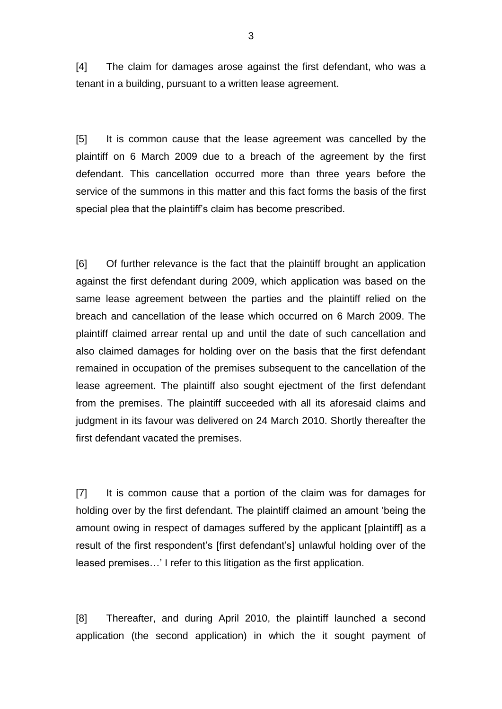[4] The claim for damages arose against the first defendant, who was a tenant in a building, pursuant to a written lease agreement.

[5] It is common cause that the lease agreement was cancelled by the plaintiff on 6 March 2009 due to a breach of the agreement by the first defendant. This cancellation occurred more than three years before the service of the summons in this matter and this fact forms the basis of the first special plea that the plaintiff's claim has become prescribed.

[6] Of further relevance is the fact that the plaintiff brought an application against the first defendant during 2009, which application was based on the same lease agreement between the parties and the plaintiff relied on the breach and cancellation of the lease which occurred on 6 March 2009. The plaintiff claimed arrear rental up and until the date of such cancellation and also claimed damages for holding over on the basis that the first defendant remained in occupation of the premises subsequent to the cancellation of the lease agreement. The plaintiff also sought ejectment of the first defendant from the premises. The plaintiff succeeded with all its aforesaid claims and judgment in its favour was delivered on 24 March 2010. Shortly thereafter the first defendant vacated the premises.

[7] It is common cause that a portion of the claim was for damages for holding over by the first defendant. The plaintiff claimed an amount 'being the amount owing in respect of damages suffered by the applicant [plaintiff] as a result of the first respondent's [first defendant's] unlawful holding over of the leased premises…' I refer to this litigation as the first application.

[8] Thereafter, and during April 2010, the plaintiff launched a second application (the second application) in which the it sought payment of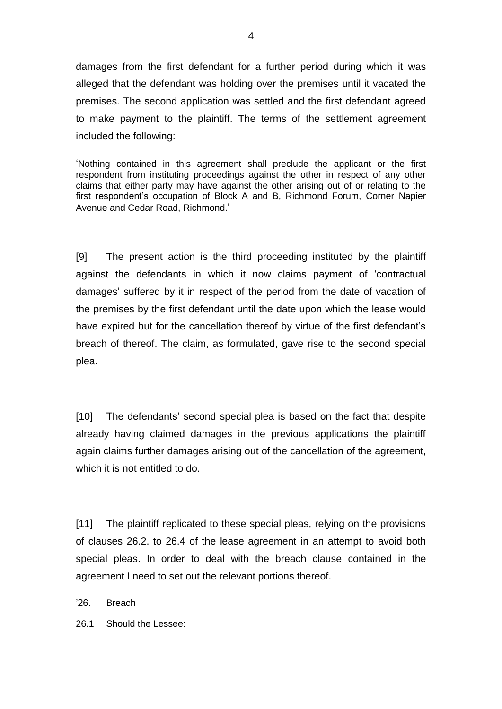damages from the first defendant for a further period during which it was alleged that the defendant was holding over the premises until it vacated the premises. The second application was settled and the first defendant agreed to make payment to the plaintiff. The terms of the settlement agreement included the following:

'Nothing contained in this agreement shall preclude the applicant or the first respondent from instituting proceedings against the other in respect of any other claims that either party may have against the other arising out of or relating to the first respondent's occupation of Block A and B, Richmond Forum, Corner Napier Avenue and Cedar Road, Richmond.'

[9] The present action is the third proceeding instituted by the plaintiff against the defendants in which it now claims payment of 'contractual damages' suffered by it in respect of the period from the date of vacation of the premises by the first defendant until the date upon which the lease would have expired but for the cancellation thereof by virtue of the first defendant's breach of thereof. The claim, as formulated, gave rise to the second special plea.

[10] The defendants' second special plea is based on the fact that despite already having claimed damages in the previous applications the plaintiff again claims further damages arising out of the cancellation of the agreement, which it is not entitled to do.

[11] The plaintiff replicated to these special pleas, relying on the provisions of clauses 26.2. to 26.4 of the lease agreement in an attempt to avoid both special pleas. In order to deal with the breach clause contained in the agreement I need to set out the relevant portions thereof.

'26. Breach

26.1 Should the Lessee: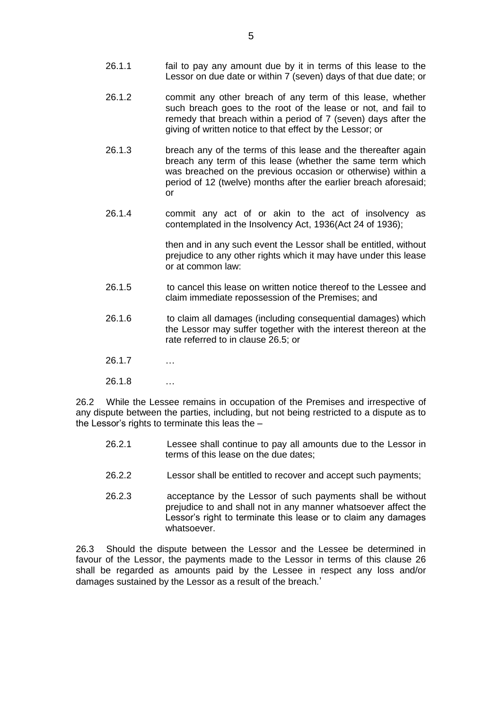- 26.1.1 fail to pay any amount due by it in terms of this lease to the Lessor on due date or within 7 (seven) days of that due date; or
- 26.1.2 commit any other breach of any term of this lease, whether such breach goes to the root of the lease or not, and fail to remedy that breach within a period of 7 (seven) days after the giving of written notice to that effect by the Lessor; or
- 26.1.3 breach any of the terms of this lease and the thereafter again breach any term of this lease (whether the same term which was breached on the previous occasion or otherwise) within a period of 12 (twelve) months after the earlier breach aforesaid; or
- 26.1.4 commit any act of or akin to the act of insolvency as contemplated in the Insolvency Act, 1936(Act 24 of 1936);

then and in any such event the Lessor shall be entitled, without prejudice to any other rights which it may have under this lease or at common law:

- 26.1.5 to cancel this lease on written notice thereof to the Lessee and claim immediate repossession of the Premises; and
- 26.1.6 to claim all damages (including consequential damages) which the Lessor may suffer together with the interest thereon at the rate referred to in clause 26.5; or
- 26.1.7 …
- 26.1.8 …

26.2 While the Lessee remains in occupation of the Premises and irrespective of any dispute between the parties, including, but not being restricted to a dispute as to the Lessor's rights to terminate this leas the –

- 26.2.1 Lessee shall continue to pay all amounts due to the Lessor in terms of this lease on the due dates;
- 26.2.2 Lessor shall be entitled to recover and accept such payments;
- 26.2.3 acceptance by the Lessor of such payments shall be without prejudice to and shall not in any manner whatsoever affect the Lessor's right to terminate this lease or to claim any damages whatsoever.

26.3 Should the dispute between the Lessor and the Lessee be determined in favour of the Lessor, the payments made to the Lessor in terms of this clause 26 shall be regarded as amounts paid by the Lessee in respect any loss and/or damages sustained by the Lessor as a result of the breach.'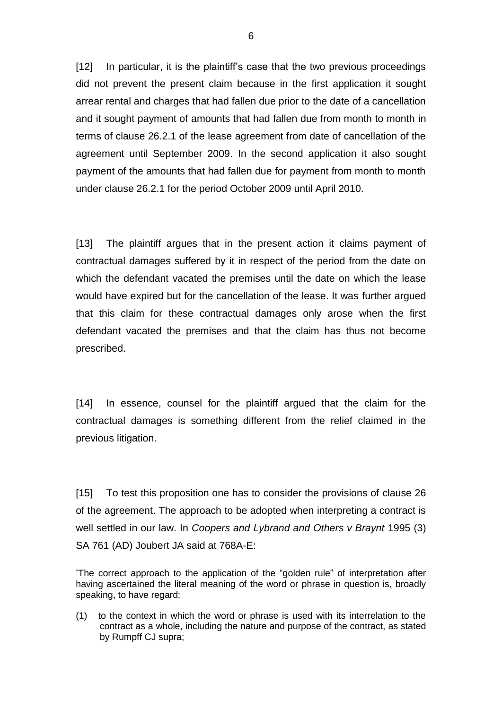[12] In particular, it is the plaintiff's case that the two previous proceedings did not prevent the present claim because in the first application it sought arrear rental and charges that had fallen due prior to the date of a cancellation and it sought payment of amounts that had fallen due from month to month in terms of clause 26.2.1 of the lease agreement from date of cancellation of the agreement until September 2009. In the second application it also sought payment of the amounts that had fallen due for payment from month to month under clause 26.2.1 for the period October 2009 until April 2010.

[13] The plaintiff argues that in the present action it claims payment of contractual damages suffered by it in respect of the period from the date on which the defendant vacated the premises until the date on which the lease would have expired but for the cancellation of the lease. It was further argued that this claim for these contractual damages only arose when the first defendant vacated the premises and that the claim has thus not become prescribed.

[14] In essence, counsel for the plaintiff argued that the claim for the contractual damages is something different from the relief claimed in the previous litigation.

[15] To test this proposition one has to consider the provisions of clause 26 of the agreement. The approach to be adopted when interpreting a contract is well settled in our law. In *Coopers and Lybrand and Others v Braynt* 1995 (3) SA 761 (AD) Joubert JA said at 768A-E:

'The correct approach to the application of the "golden rule" of interpretation after having ascertained the literal meaning of the word or phrase in question is, broadly speaking, to have regard:

(1) to the context in which the word or phrase is used with its interrelation to the contract as a whole, including the nature and purpose of the contract, as stated by Rumpff CJ supra;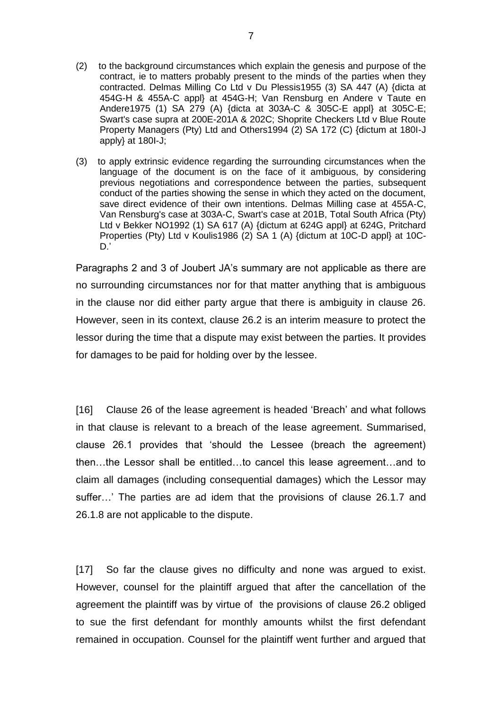- (2) to the background circumstances which explain the genesis and purpose of the contract, ie to matters probably present to the minds of the parties when they contracted. Delmas Milling Co Ltd v Du Plessis1955 (3) SA 447 (A) {dicta at 454G-H & 455A-C appl} at 454G-H; Van Rensburg en Andere v Taute en Andere1975 (1) SA 279 (A) {dicta at 303A-C & 305C-E appl} at 305C-E; Swart's case supra at 200E-201A & 202C; Shoprite Checkers Ltd v Blue Route Property Managers (Pty) Ltd and Others1994 (2) SA 172 (C) {dictum at 180I-J apply} at 180I-J;
- (3) to apply extrinsic evidence regarding the surrounding circumstances when the language of the document is on the face of it ambiguous, by considering previous negotiations and correspondence between the parties, subsequent conduct of the parties showing the sense in which they acted on the document, save direct evidence of their own intentions. Delmas Milling case at 455A-C, Van Rensburg's case at 303A-C, Swart's case at 201B, Total South Africa (Pty) Ltd v Bekker NO1992 (1) SA 617 (A) {dictum at 624G appl} at 624G, Pritchard Properties (Pty) Ltd v Koulis1986 (2) SA 1 (A) {dictum at 10C-D appl} at 10C- $D.'$

Paragraphs 2 and 3 of Joubert JA's summary are not applicable as there are no surrounding circumstances nor for that matter anything that is ambiguous in the clause nor did either party argue that there is ambiguity in clause 26. However, seen in its context, clause 26.2 is an interim measure to protect the lessor during the time that a dispute may exist between the parties. It provides for damages to be paid for holding over by the lessee.

[16] Clause 26 of the lease agreement is headed 'Breach' and what follows in that clause is relevant to a breach of the lease agreement. Summarised, clause 26.1 provides that 'should the Lessee (breach the agreement) then…the Lessor shall be entitled…to cancel this lease agreement…and to claim all damages (including consequential damages) which the Lessor may suffer…' The parties are ad idem that the provisions of clause 26.1.7 and 26.1.8 are not applicable to the dispute.

[17] So far the clause gives no difficulty and none was argued to exist. However, counsel for the plaintiff argued that after the cancellation of the agreement the plaintiff was by virtue of the provisions of clause 26.2 obliged to sue the first defendant for monthly amounts whilst the first defendant remained in occupation. Counsel for the plaintiff went further and argued that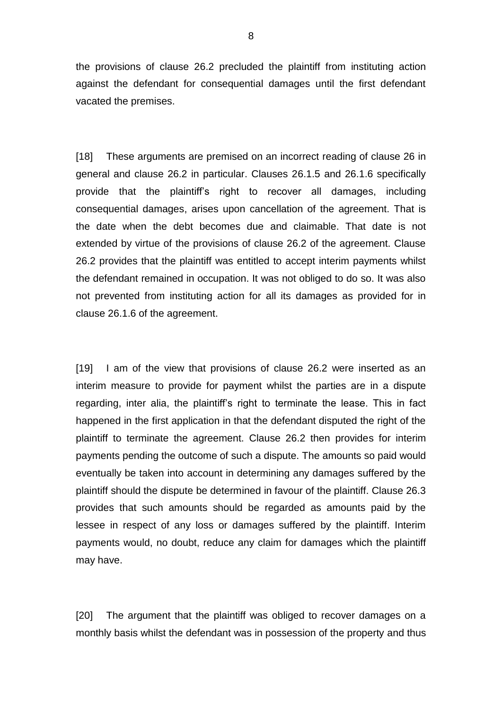the provisions of clause 26.2 precluded the plaintiff from instituting action against the defendant for consequential damages until the first defendant vacated the premises.

[18] These arguments are premised on an incorrect reading of clause 26 in general and clause 26.2 in particular. Clauses 26.1.5 and 26.1.6 specifically provide that the plaintiff's right to recover all damages, including consequential damages, arises upon cancellation of the agreement. That is the date when the debt becomes due and claimable. That date is not extended by virtue of the provisions of clause 26.2 of the agreement. Clause 26.2 provides that the plaintiff was entitled to accept interim payments whilst the defendant remained in occupation. It was not obliged to do so. It was also not prevented from instituting action for all its damages as provided for in clause 26.1.6 of the agreement.

[19] I am of the view that provisions of clause 26.2 were inserted as an interim measure to provide for payment whilst the parties are in a dispute regarding, inter alia, the plaintiff's right to terminate the lease. This in fact happened in the first application in that the defendant disputed the right of the plaintiff to terminate the agreement. Clause 26.2 then provides for interim payments pending the outcome of such a dispute. The amounts so paid would eventually be taken into account in determining any damages suffered by the plaintiff should the dispute be determined in favour of the plaintiff. Clause 26.3 provides that such amounts should be regarded as amounts paid by the lessee in respect of any loss or damages suffered by the plaintiff. Interim payments would, no doubt, reduce any claim for damages which the plaintiff may have.

[20] The argument that the plaintiff was obliged to recover damages on a monthly basis whilst the defendant was in possession of the property and thus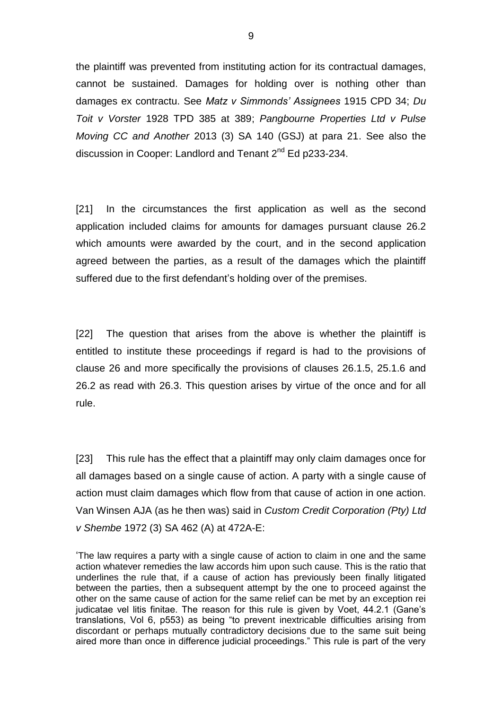the plaintiff was prevented from instituting action for its contractual damages, cannot be sustained. Damages for holding over is nothing other than damages ex contractu. See *Matz v Simmonds' Assignees* 1915 CPD 34; *Du Toit v Vorster* 1928 TPD 385 at 389; *Pangbourne Properties Ltd v Pulse Moving CC and Another* 2013 (3) SA 140 (GSJ) at para 21. See also the discussion in Cooper: Landlord and Tenant 2<sup>nd</sup> Ed p233-234.

[21] In the circumstances the first application as well as the second application included claims for amounts for damages pursuant clause 26.2 which amounts were awarded by the court, and in the second application agreed between the parties, as a result of the damages which the plaintiff suffered due to the first defendant's holding over of the premises.

[22] The question that arises from the above is whether the plaintiff is entitled to institute these proceedings if regard is had to the provisions of clause 26 and more specifically the provisions of clauses 26.1.5, 25.1.6 and 26.2 as read with 26.3. This question arises by virtue of the once and for all rule.

[23] This rule has the effect that a plaintiff may only claim damages once for all damages based on a single cause of action. A party with a single cause of action must claim damages which flow from that cause of action in one action. Van Winsen AJA (as he then was) said in *Custom Credit Corporation (Pty) Ltd v Shembe* 1972 (3) SA 462 (A) at 472A-E:

'The law requires a party with a single cause of action to claim in one and the same action whatever remedies the law accords him upon such cause. This is the ratio that underlines the rule that, if a cause of action has previously been finally litigated between the parties, then a subsequent attempt by the one to proceed against the other on the same cause of action for the same relief can be met by an exception rei judicatae vel litis finitae. The reason for this rule is given by Voet, 44.2.1 (Gane's translations, Vol 6, p553) as being "to prevent inextricable difficulties arising from discordant or perhaps mutually contradictory decisions due to the same suit being aired more than once in difference judicial proceedings." This rule is part of the very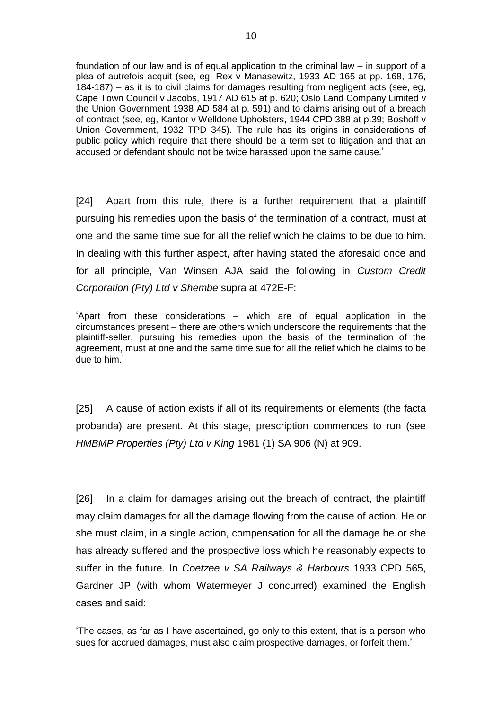foundation of our law and is of equal application to the criminal law – in support of a plea of autrefois acquit (see, eg, Rex v Manasewitz, 1933 AD 165 at pp. 168, 176, 184-187) – as it is to civil claims for damages resulting from negligent acts (see, eg, Cape Town Council v Jacobs, 1917 AD 615 at p. 620; Oslo Land Company Limited v the Union Government 1938 AD 584 at p. 591) and to claims arising out of a breach of contract (see, eg, Kantor v Welldone Upholsters, 1944 CPD 388 at p.39; Boshoff v Union Government, 1932 TPD 345). The rule has its origins in considerations of public policy which require that there should be a term set to litigation and that an accused or defendant should not be twice harassed upon the same cause.'

[24] Apart from this rule, there is a further requirement that a plaintiff pursuing his remedies upon the basis of the termination of a contract, must at one and the same time sue for all the relief which he claims to be due to him. In dealing with this further aspect, after having stated the aforesaid once and for all principle, Van Winsen AJA said the following in *Custom Credit Corporation (Pty) Ltd v Shembe* supra at 472E-F:

'Apart from these considerations – which are of equal application in the circumstances present – there are others which underscore the requirements that the plaintiff-seller, pursuing his remedies upon the basis of the termination of the agreement, must at one and the same time sue for all the relief which he claims to be due to him.'

[25] A cause of action exists if all of its requirements or elements (the facta probanda) are present. At this stage, prescription commences to run (see *HMBMP Properties (Pty) Ltd v King* 1981 (1) SA 906 (N) at 909.

[26] In a claim for damages arising out the breach of contract, the plaintiff may claim damages for all the damage flowing from the cause of action. He or she must claim, in a single action, compensation for all the damage he or she has already suffered and the prospective loss which he reasonably expects to suffer in the future. In *Coetzee v SA Railways & Harbours* 1933 CPD 565, Gardner JP (with whom Watermeyer J concurred) examined the English cases and said:

'The cases, as far as I have ascertained, go only to this extent, that is a person who sues for accrued damages, must also claim prospective damages, or forfeit them.'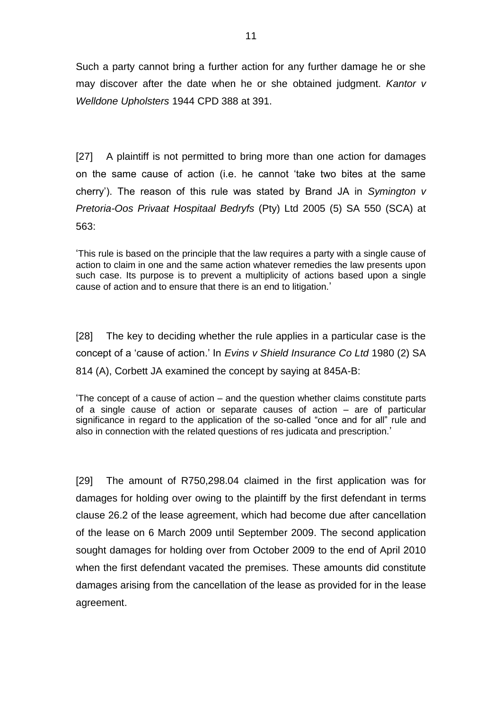Such a party cannot bring a further action for any further damage he or she may discover after the date when he or she obtained judgment. *Kantor v Welldone Upholsters* 1944 CPD 388 at 391.

[27] A plaintiff is not permitted to bring more than one action for damages on the same cause of action (i.e. he cannot 'take two bites at the same cherry'). The reason of this rule was stated by Brand JA in *Symington v Pretoria-Oos Privaat Hospitaal Bedryfs* (Pty) Ltd 2005 (5) SA 550 (SCA) at 563:

'This rule is based on the principle that the law requires a party with a single cause of action to claim in one and the same action whatever remedies the law presents upon such case. Its purpose is to prevent a multiplicity of actions based upon a single cause of action and to ensure that there is an end to litigation.'

[28] The key to deciding whether the rule applies in a particular case is the concept of a 'cause of action.' In *Evins v Shield Insurance Co Ltd* 1980 (2) SA 814 (A), Corbett JA examined the concept by saying at 845A-B:

'The concept of a cause of action – and the question whether claims constitute parts of a single cause of action or separate causes of action – are of particular significance in regard to the application of the so-called "once and for all" rule and also in connection with the related questions of res judicata and prescription.'

[29] The amount of R750,298.04 claimed in the first application was for damages for holding over owing to the plaintiff by the first defendant in terms clause 26.2 of the lease agreement, which had become due after cancellation of the lease on 6 March 2009 until September 2009. The second application sought damages for holding over from October 2009 to the end of April 2010 when the first defendant vacated the premises. These amounts did constitute damages arising from the cancellation of the lease as provided for in the lease agreement.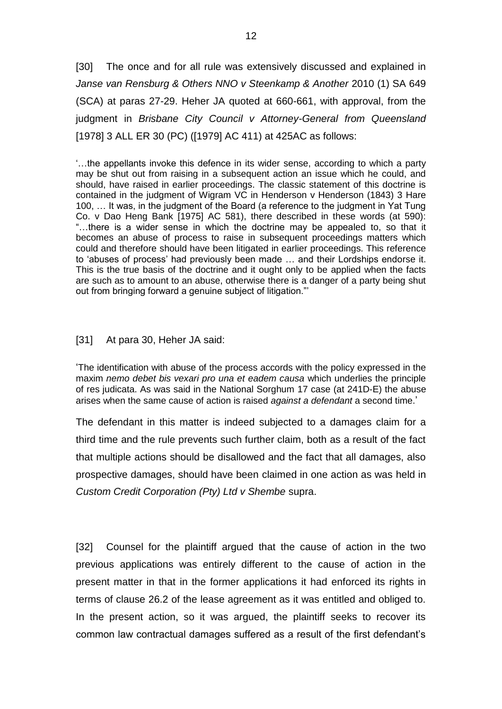[30] The once and for all rule was extensively discussed and explained in *Janse van Rensburg & Others NNO v Steenkamp & Another* 2010 (1) SA 649 (SCA) at paras 27-29. Heher JA quoted at 660-661, with approval, from the judgment in *Brisbane City Council v Attorney-General from Queensland* [1978] 3 ALL ER 30 (PC) ([1979] AC 411) at 425AC as follows:

'…the appellants invoke this defence in its wider sense, according to which a party may be shut out from raising in a subsequent action an issue which he could, and should, have raised in earlier proceedings. The classic statement of this doctrine is contained in the judgment of Wigram VC in Henderson v Henderson (1843) 3 Hare 100, … It was, in the judgment of the Board (a reference to the judgment in Yat Tung Co. v Dao Heng Bank [1975] AC 581), there described in these words (at 590): "…there is a wider sense in which the doctrine may be appealed to, so that it becomes an abuse of process to raise in subsequent proceedings matters which could and therefore should have been litigated in earlier proceedings. This reference to 'abuses of process' had previously been made … and their Lordships endorse it. This is the true basis of the doctrine and it ought only to be applied when the facts are such as to amount to an abuse, otherwise there is a danger of a party being shut out from bringing forward a genuine subject of litigation."'

#### [31] At para 30, Heher JA said:

'The identification with abuse of the process accords with the policy expressed in the maxim *nemo debet bis vexari pro una et eadem causa* which underlies the principle of res judicata. As was said in the National Sorghum 17 case (at 241D-E) the abuse arises when the same cause of action is raised *against a defendant* a second time.'

The defendant in this matter is indeed subjected to a damages claim for a third time and the rule prevents such further claim, both as a result of the fact that multiple actions should be disallowed and the fact that all damages, also prospective damages, should have been claimed in one action as was held in *Custom Credit Corporation (Pty) Ltd v Shembe* supra.

[32] Counsel for the plaintiff argued that the cause of action in the two previous applications was entirely different to the cause of action in the present matter in that in the former applications it had enforced its rights in terms of clause 26.2 of the lease agreement as it was entitled and obliged to. In the present action, so it was argued, the plaintiff seeks to recover its common law contractual damages suffered as a result of the first defendant's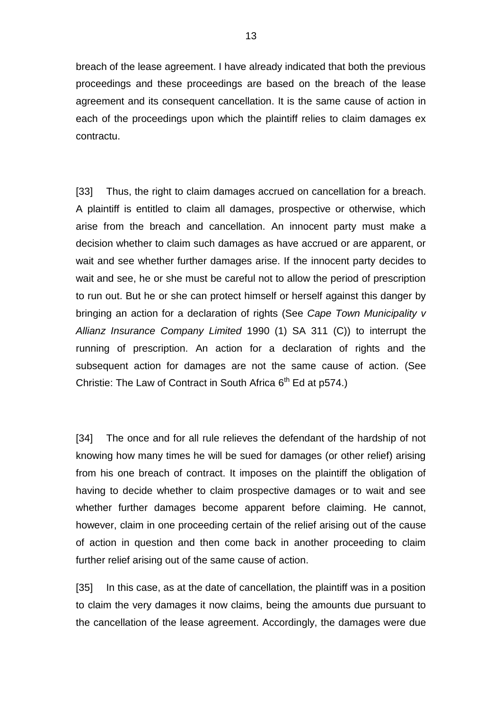breach of the lease agreement. I have already indicated that both the previous proceedings and these proceedings are based on the breach of the lease agreement and its consequent cancellation. It is the same cause of action in each of the proceedings upon which the plaintiff relies to claim damages ex contractu.

[33] Thus, the right to claim damages accrued on cancellation for a breach. A plaintiff is entitled to claim all damages, prospective or otherwise, which arise from the breach and cancellation. An innocent party must make a decision whether to claim such damages as have accrued or are apparent, or wait and see whether further damages arise. If the innocent party decides to wait and see, he or she must be careful not to allow the period of prescription to run out. But he or she can protect himself or herself against this danger by bringing an action for a declaration of rights (See *Cape Town Municipality v Allianz Insurance Company Limited* 1990 (1) SA 311 (C)) to interrupt the running of prescription. An action for a declaration of rights and the subsequent action for damages are not the same cause of action. (See Christie: The Law of Contract in South Africa  $6<sup>th</sup>$  Ed at p574.)

[34] The once and for all rule relieves the defendant of the hardship of not knowing how many times he will be sued for damages (or other relief) arising from his one breach of contract. It imposes on the plaintiff the obligation of having to decide whether to claim prospective damages or to wait and see whether further damages become apparent before claiming. He cannot, however, claim in one proceeding certain of the relief arising out of the cause of action in question and then come back in another proceeding to claim further relief arising out of the same cause of action.

[35] In this case, as at the date of cancellation, the plaintiff was in a position to claim the very damages it now claims, being the amounts due pursuant to the cancellation of the lease agreement. Accordingly, the damages were due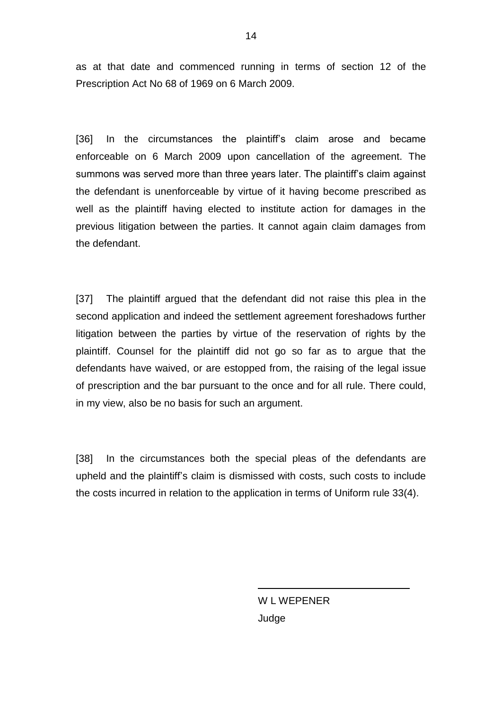as at that date and commenced running in terms of section 12 of the Prescription Act No 68 of 1969 on 6 March 2009.

[36] In the circumstances the plaintiff's claim arose and became enforceable on 6 March 2009 upon cancellation of the agreement. The summons was served more than three years later. The plaintiff's claim against the defendant is unenforceable by virtue of it having become prescribed as well as the plaintiff having elected to institute action for damages in the previous litigation between the parties. It cannot again claim damages from the defendant.

[37] The plaintiff argued that the defendant did not raise this plea in the second application and indeed the settlement agreement foreshadows further litigation between the parties by virtue of the reservation of rights by the plaintiff. Counsel for the plaintiff did not go so far as to argue that the defendants have waived, or are estopped from, the raising of the legal issue of prescription and the bar pursuant to the once and for all rule. There could, in my view, also be no basis for such an argument.

[38] In the circumstances both the special pleas of the defendants are upheld and the plaintiff's claim is dismissed with costs, such costs to include the costs incurred in relation to the application in terms of Uniform rule 33(4).

> W L WEPENER Judge